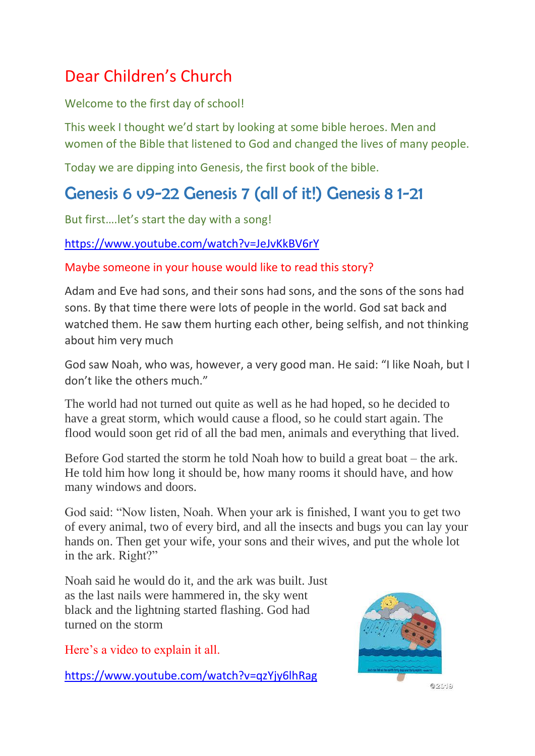# Dear Children's Church

### Welcome to the first day of school!

This week I thought we'd start by looking at some bible heroes. Men and women of the Bible that listened to God and changed the lives of many people.

Today we are dipping into Genesis, the first book of the bible.

## Genesis 6 v9-22 Genesis 7 (all of it!) Genesis 8 1-21

But first….let's start the day with a song!

#### <https://www.youtube.com/watch?v=JeJvKkBV6rY>

### Maybe someone in your house would like to read this story?

Adam and Eve had sons, and their sons had sons, and the sons of the sons had sons. By that time there were lots of people in the world. God sat back and watched them. He saw them hurting each other, being selfish, and not thinking about him very much

God saw Noah, who was, however, a very good man. He said: "I like Noah, but I don't like the others much."

The world had not turned out quite as well as he had hoped, so he decided to have a great storm, which would cause a flood, so he could start again. The flood would soon get rid of all the bad men, animals and everything that lived.

Before God started the storm he told Noah how to build a great boat – the ark. He told him how long it should be, how many rooms it should have, and how many windows and doors.

God said: "Now listen, Noah. When your ark is finished, I want you to get two of every animal, two of every bird, and all the insects and bugs you can lay your hands on. Then get your wife, your sons and their wives, and put the whole lot in the ark. Right?"

Noah said he would do it, and the ark was built. Just as the last nails were hammered in, the sky went black and the lightning started flashing. God had turned on the storm

Here's a video to explain it all.

<https://www.youtube.com/watch?v=qzYjy6lhRag>



 $6911 - 5$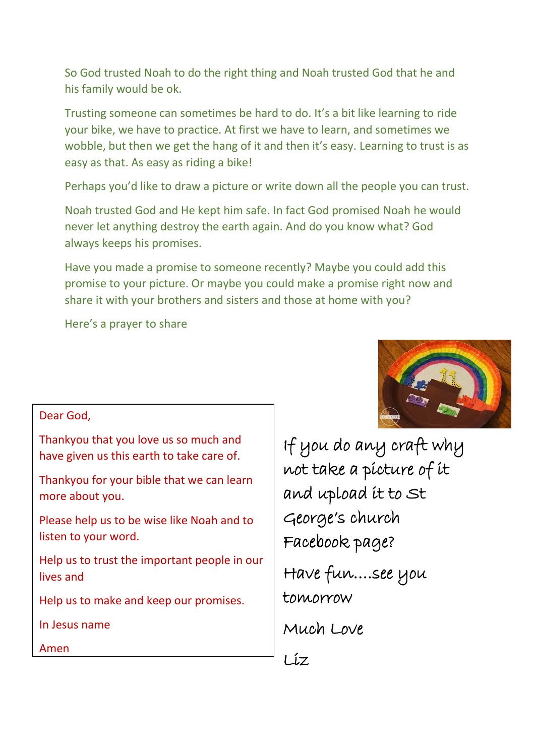So God trusted Noah to do the right thing and Noah trusted God that he and his family would be ok.

Trusting someone can sometimes be hard to do. It's a bit like learning to ride your bike, we have to practice. At first we have to learn, and sometimes we wobble, but then we get the hang of it and then it's easy. Learning to trust is as easy as that. As easy as riding a bike!

Perhaps you'd like to draw a picture or write down all the people you can trust.

Noah trusted God and He kept him safe. In fact God promised Noah he would never let anything destroy the earth again. And do you know what? God always keeps his promises.

Have you made a promise to someone recently? Maybe you could add this promise to your picture. Or maybe you could make a promise right now and share it with your brothers and sisters and those at home with you?

Here's a prayer to share

#### Dear God,

Thankyou that you love us so much and have given us this earth to take care of.

Thankyou for your bible that we can learn more about you.

Please help us to be wise like Noah and to listen to your word.

Help us to trust the important people in our lives and

Help us to make and keep our promises.

In Jesus name

Amen

If you do any craft why not take a picture of it and upload it to St George's church Facebook page? Have fun….see you tomorrow Much Love  $Li$ 

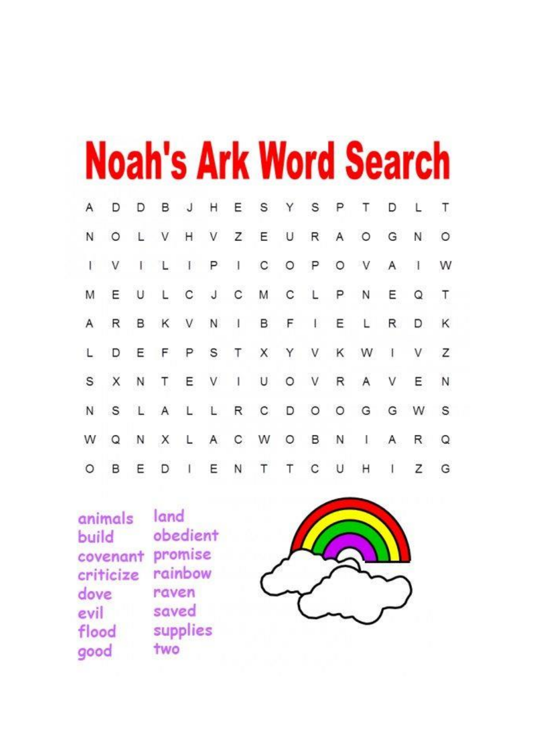|         |              |              |              |         |             |                |             |         |              |                | <b>Noah's Ark Word Search</b> |              |              |         |  |
|---------|--------------|--------------|--------------|---------|-------------|----------------|-------------|---------|--------------|----------------|-------------------------------|--------------|--------------|---------|--|
|         | D            | D            | в            | J       | H           | Ε              | $\mathbb S$ | Y       | $\mathbb S$  | P              | Т                             | D            |              | T       |  |
| N       | $\circ$      |              | V            | H       | V           | $\mathsf{Z}$   | $\mathsf E$ | U       | R            | $\overline{A}$ | $\circ$                       | G            | N.           | $\circ$ |  |
| F       |              | $\mathbb{R}$ |              | $\perp$ | P           | a.             | C           | $\circ$ | $\mathsf{P}$ | $\circ$        | V                             | $\mathsf{A}$ | $\mathbf{I}$ | W       |  |
|         | Ε            | U            | L            | C       | $\mathsf J$ | С              | M           | C       | <b>L</b>     | P              | N                             | E.           | Q            | T.      |  |
| A       | $\mathbb{R}$ | В            | K            | V       | N           | $\mathbf{d}$   | в           | F       | Ë.           | Ε              | L                             | R            | D            | Κ       |  |
|         | D            | Ε            | F            | P       | S           | T              |             |         | X Y V        | K              | W                             | $\mathbf{I}$ | V            | Z       |  |
| S       | X            | N            | T            | Ε       | V           | $\overline{1}$ | U           | $\circ$ | V            | R              | Α                             | ٧            | Е            | N       |  |
| N       | S            | $\mathbf{L}$ | $\mathsf{A}$ | L       | L.          | R              | $\mathbf C$ | D       | $\circ$      | O              | G                             | G            | W            | S       |  |
|         |              | N            | X            | L       | A           | С              | W           | O       | в            | N              | J.                            | A            | R            | Q       |  |
| $\circ$ | В            | Е            | D            |         | E           | Ν              | T           | Τ       | С            | U              | Η                             | T            | Z            | G       |  |

land animals obedient build covenant promise rainbow criticize raven dove saved evil supplies flood two good